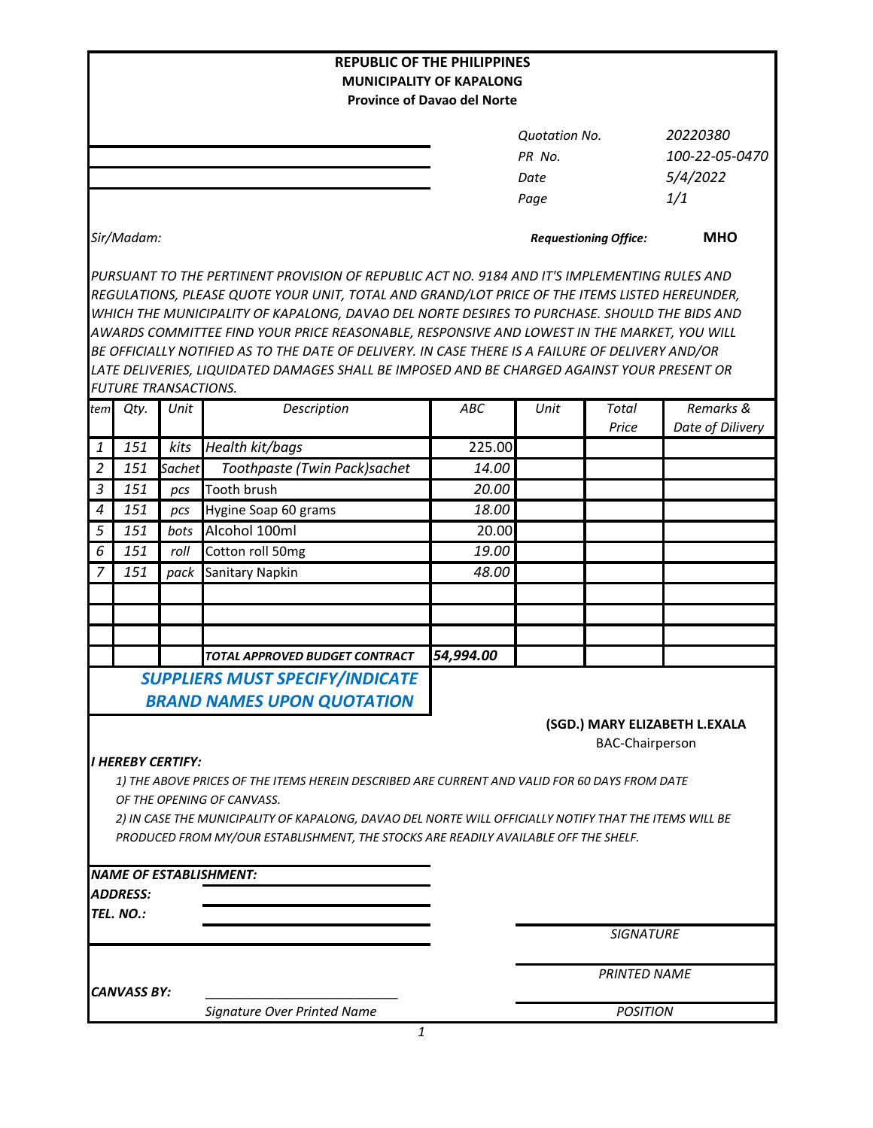| <b>REPUBLIC OF THE PHILIPPINES</b>                                                                     |                             |        |                                                                                                  |           |                              |                       |                               |
|--------------------------------------------------------------------------------------------------------|-----------------------------|--------|--------------------------------------------------------------------------------------------------|-----------|------------------------------|-----------------------|-------------------------------|
| <b>MUNICIPALITY OF KAPALONG</b><br><b>Province of Davao del Norte</b>                                  |                             |        |                                                                                                  |           |                              |                       |                               |
|                                                                                                        |                             |        |                                                                                                  |           |                              |                       |                               |
|                                                                                                        |                             |        |                                                                                                  |           | <b>Quotation No.</b>         |                       | 20220380                      |
|                                                                                                        |                             |        |                                                                                                  |           | PR No.                       |                       | 100-22-05-0470                |
|                                                                                                        |                             |        |                                                                                                  |           | Date                         |                       | 5/4/2022                      |
|                                                                                                        |                             |        |                                                                                                  |           | Page                         |                       | 1/1                           |
|                                                                                                        | Sir/Madam:                  |        |                                                                                                  |           | <b>Requestioning Office:</b> |                       | <b>MHO</b>                    |
|                                                                                                        |                             |        | PURSUANT TO THE PERTINENT PROVISION OF REPUBLIC ACT NO. 9184 AND IT'S IMPLEMENTING RULES AND     |           |                              |                       |                               |
|                                                                                                        |                             |        | REGULATIONS, PLEASE QUOTE YOUR UNIT, TOTAL AND GRAND/LOT PRICE OF THE ITEMS LISTED HEREUNDER,    |           |                              |                       |                               |
| WHICH THE MUNICIPALITY OF KAPALONG, DAVAO DEL NORTE DESIRES TO PURCHASE. SHOULD THE BIDS AND           |                             |        |                                                                                                  |           |                              |                       |                               |
| AWARDS COMMITTEE FIND YOUR PRICE REASONABLE, RESPONSIVE AND LOWEST IN THE MARKET, YOU WILL             |                             |        |                                                                                                  |           |                              |                       |                               |
|                                                                                                        |                             |        | BE OFFICIALLY NOTIFIED AS TO THE DATE OF DELIVERY. IN CASE THERE IS A FAILURE OF DELIVERY AND/OR |           |                              |                       |                               |
|                                                                                                        |                             |        | LATE DELIVERIES, LIQUIDATED DAMAGES SHALL BE IMPOSED AND BE CHARGED AGAINST YOUR PRESENT OR      |           |                              |                       |                               |
|                                                                                                        | <b>FUTURE TRANSACTIONS.</b> |        |                                                                                                  |           |                              |                       |                               |
| tem                                                                                                    | Qty.                        | Unit   | Description                                                                                      | ABC       | Unit                         | <b>Total</b><br>Price | Remarks &<br>Date of Dilivery |
| 1                                                                                                      | 151                         | kits   | Health kit/bags                                                                                  | 225.00    |                              |                       |                               |
| $\overline{2}$                                                                                         | 151                         | Sachet | Toothpaste (Twin Pack)sachet                                                                     | 14.00     |                              |                       |                               |
| 3                                                                                                      | 151                         | pcs    | Tooth brush                                                                                      | 20.00     |                              |                       |                               |
| $\boldsymbol{4}$                                                                                       | 151                         | pcs    | Hygine Soap 60 grams                                                                             | 18.00     |                              |                       |                               |
| 5                                                                                                      | 151                         | bots   | Alcohol 100ml                                                                                    | 20.00     |                              |                       |                               |
| 6                                                                                                      | 151                         | roll   | Cotton roll 50mg                                                                                 | 19.00     |                              |                       |                               |
| 7                                                                                                      | 151                         | pack   | Sanitary Napkin                                                                                  | 48.00     |                              |                       |                               |
|                                                                                                        |                             |        |                                                                                                  |           |                              |                       |                               |
|                                                                                                        |                             |        |                                                                                                  |           |                              |                       |                               |
|                                                                                                        |                             |        |                                                                                                  |           |                              |                       |                               |
|                                                                                                        |                             |        | TOTAL APPROVED BUDGET CONTRACT                                                                   | 54,994.00 |                              |                       |                               |
|                                                                                                        |                             |        | <b>SUPPLIERS MUST SPECIFY/INDICATE</b>                                                           |           |                              |                       |                               |
|                                                                                                        |                             |        | <b>BRAND NAMES UPON QUOTATION</b>                                                                |           |                              |                       |                               |
| (SGD.) MARY ELIZABETH L.EXALA                                                                          |                             |        |                                                                                                  |           |                              |                       |                               |
| <b>BAC-Chairperson</b>                                                                                 |                             |        |                                                                                                  |           |                              |                       |                               |
| I HEREBY CERTIFY:                                                                                      |                             |        |                                                                                                  |           |                              |                       |                               |
| 1) THE ABOVE PRICES OF THE ITEMS HEREIN DESCRIBED ARE CURRENT AND VALID FOR 60 DAYS FROM DATE          |                             |        |                                                                                                  |           |                              |                       |                               |
| OF THE OPENING OF CANVASS.                                                                             |                             |        |                                                                                                  |           |                              |                       |                               |
| 2) IN CASE THE MUNICIPALITY OF KAPALONG, DAVAO DEL NORTE WILL OFFICIALLY NOTIFY THAT THE ITEMS WILL BE |                             |        |                                                                                                  |           |                              |                       |                               |
|                                                                                                        |                             |        | PRODUCED FROM MY/OUR ESTABLISHMENT, THE STOCKS ARE READILY AVAILABLE OFF THE SHELF.              |           |                              |                       |                               |
|                                                                                                        |                             |        |                                                                                                  |           |                              |                       |                               |
|                                                                                                        |                             |        | <b>NAME OF ESTABLISHMENT:</b>                                                                    |           |                              |                       |                               |
|                                                                                                        | <b>ADDRESS:</b>             |        |                                                                                                  |           |                              |                       |                               |
|                                                                                                        | TEL. NO.:                   |        |                                                                                                  |           |                              | <b>SIGNATURE</b>      |                               |
|                                                                                                        |                             |        |                                                                                                  |           |                              |                       |                               |
|                                                                                                        |                             |        |                                                                                                  |           | <b>PRINTED NAME</b>          |                       |                               |
|                                                                                                        | <b>CANVASS BY:</b>          |        |                                                                                                  |           |                              |                       |                               |
|                                                                                                        |                             |        | Signature Over Printed Name                                                                      |           | <b>POSITION</b>              |                       |                               |